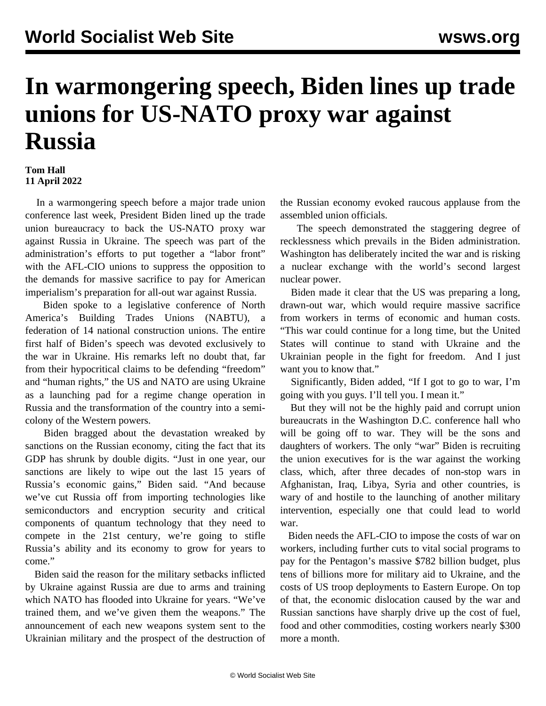## **In warmongering speech, Biden lines up trade unions for US-NATO proxy war against Russia**

## **Tom Hall 11 April 2022**

 In a warmongering speech before a major trade union conference last week, President Biden lined up the trade union bureaucracy to back the US-NATO proxy war against Russia in Ukraine. The speech was part of the administration's efforts to put together a "labor front" with the AFL-CIO unions to suppress the opposition to the demands for massive sacrifice to pay for American imperialism's preparation for all-out war against Russia.

 Biden spoke to a legislative conference of North America's Building Trades Unions (NABTU), a federation of 14 national construction unions. The entire first half of Biden's speech was devoted exclusively to the war in Ukraine. His remarks left no doubt that, far from their hypocritical claims to be defending "freedom" and "human rights," the US and NATO are using Ukraine as a launching pad for a regime change operation in Russia and the transformation of the country into a semicolony of the Western powers.

 Biden bragged about the devastation wreaked by sanctions on the Russian economy, citing the fact that its GDP has shrunk by double digits. "Just in one year, our sanctions are likely to wipe out the last 15 years of Russia's economic gains," Biden said. "And because we've cut Russia off from importing technologies like semiconductors and encryption security and critical components of quantum technology that they need to compete in the 21st century, we're going to stifle Russia's ability and its economy to grow for years to come."

 Biden said the reason for the military setbacks inflicted by Ukraine against Russia are due to arms and training which NATO has flooded into Ukraine for years. "We've trained them, and we've given them the weapons." The announcement of each new weapons system sent to the Ukrainian military and the prospect of the destruction of the Russian economy evoked raucous applause from the assembled union officials.

 The speech demonstrated the staggering degree of recklessness which prevails in the Biden administration. Washington has deliberately incited the war and is risking a nuclear exchange with the world's second largest nuclear power.

 Biden made it clear that the US was preparing a long, drawn-out war, which would require massive sacrifice from workers in terms of economic and human costs. "This war could continue for a long time, but the United States will continue to stand with Ukraine and the Ukrainian people in the fight for freedom. And I just want you to know that."

 Significantly, Biden added, "If I got to go to war, I'm going with you guys. I'll tell you. I mean it."

 But they will not be the highly paid and corrupt union bureaucrats in the Washington D.C. conference hall who will be going off to war. They will be the sons and daughters of workers. The only "war" Biden is recruiting the union executives for is the war against the working class, which, after three decades of non-stop wars in Afghanistan, Iraq, Libya, Syria and other countries, is wary of and hostile to the launching of another military intervention, especially one that could lead to world war.

 Biden needs the AFL-CIO to impose the costs of war on workers, including further cuts to vital social programs to pay for the Pentagon's massive \$782 billion budget, plus tens of billions more for military aid to Ukraine, and the costs of US troop deployments to Eastern Europe. On top of that, the economic dislocation caused by the war and Russian sanctions have sharply drive up the cost of fuel, food and other commodities, costing workers nearly \$300 more a month.